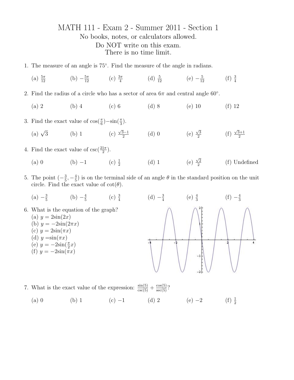## MATH 111 - Exam 2 - Summer 2011 - Section 1 No books, notes, or calculators allowed. Do NOT write on this exam. There is no time limit.

- 1. The measure of an angle is 75◦ . Find the measure of the angle in radians.
	- (a)  $\frac{5\pi}{12}$  $rac{5\pi}{12}$  (b)  $-\frac{5\pi}{12}$  $\frac{5\pi}{12}$  (c)  $\frac{3\pi}{4}$  (d)  $\frac{5}{12}$  $\frac{5}{12}$  (e)  $-\frac{5}{12}$  $\frac{5}{12}$  (f)  $\frac{3}{4}$
- 2. Find the radius of a circle who has a sector of area  $6\pi$  and central angle  $60^{\circ}$ .
	- (a) 2 (b) 4 (c) 6 (d) 8 (e) 10 (f) 12
- 3. Find the exact value of  $\cos(\frac{\pi}{6}) \sin(\frac{\pi}{3})$ .
	- (a)  $\sqrt{3}$  $(b)$  1 √ 3−1  $\frac{3-1}{2}$  (d) 0 (e)  $\sqrt{3}$  $\frac{\sqrt{3}}{2}$  (f)  $\sqrt{3}+1$ 2
- 4. Find the exact value of  $\csc(\frac{21\pi}{2})$ .
	- (a) 0 (b) −1 (c)  $\frac{1}{2}$ (d) 1 (e)  $\sqrt{2}$ 2 (f) Undefined
- 5. The point  $\left(-\frac{3}{5}\right)$  $\frac{3}{5}, -\frac{4}{5}$  $\frac{4}{5}$ ) is on the terminal side of an angle  $\theta$  in the standard position on the unit circle. Find the exact value of  $\cot(\theta)$ .
- $(a) -\frac{3}{5}$  $rac{3}{5}$  (b)  $-\frac{4}{5}$  $\frac{4}{5}$  (c)  $\frac{3}{4}$  (d)  $-\frac{3}{4}$  $\frac{3}{4}$  (e)  $\frac{4}{3}$  $(f) -\frac{4}{3}$ 3 6. What is the equation of the graph? (a)  $y = 2\sin(2x)$ (b)  $y = -2\sin(2\pi x)$ (c)  $y = 2\sin(\pi x)$ (d)  $y = \sin(\pi x)$ 4 (e)  $y = -2\sin(\frac{\pi}{2}x)$ (f)  $y = -2\sin(\pi x)$
- 7. What is the exact value of the expression:  $\frac{\sin(5)}{\csc(5)} + \frac{\cos(5)}{\sec(5)}$ ? (a) 0 (b) 1 (c) −1 (d) 2 (e) −2 (f)  $\frac{1}{2}$  $(f) \frac{1}{2}$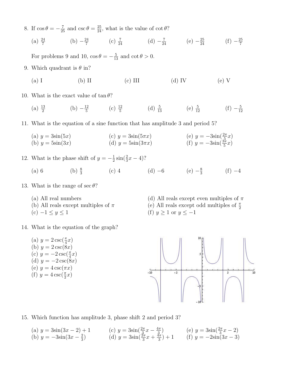- 8. If  $\cos \theta = -\frac{7}{25}$  and  $\csc \theta = \frac{25}{24}$ , what is the value of  $\cot \theta$ ?
	- $(a) \frac{24}{7}$  $(b) -\frac{24}{7}$  $\frac{24}{7}$  (c)  $\frac{7}{24}$  $\frac{7}{24}$  (d)  $-\frac{7}{24}$  (e)  $-\frac{25}{24}$  (f)  $-\frac{25}{7}$ 7

For problems 9 and 10,  $\cos \theta = -\frac{5}{13}$  and  $\cot \theta > 0$ .

- 9. Which quadrant is  $\theta$  in?
	- (a) I (b) II (c) III (d) IV (e) V

10. What is the exact value of  $\tan \theta$ ?

 $(a) \frac{13}{2}$  $(b) -\frac{12}{5}$  $\frac{12}{5}$  (c)  $\frac{12}{5}$  (d)  $\frac{5}{13}$  (e)  $\frac{5}{12}$  $\frac{5}{12}$  (f)  $-\frac{5}{12}$ 12

11. What is the equation of a sine function that has amplitude 3 and period 5?

(a)  $y = 3\sin(5x)$ (b)  $y = 5\sin(3x)$ (c)  $y = 3\sin(5\pi x)$ (d)  $y = 5\sin(3\pi x)$ (e)  $y = -3\sin(\frac{2\pi}{5}x)$ (f)  $y = -3\sin(\frac{3\pi}{5}x)$ 

## 12. What is the phase shift of  $y = -\frac{1}{2}$  $\frac{1}{2}\sin(\frac{2}{3}x-4)$ ?

- (a) 6 (b)  $\frac{8}{3}$ (c) 4 (d) –6 (e)  $-\frac{8}{3}$  $\frac{8}{3}$  (f) -4
- 13. What is the range of sec  $\theta$ ?
	- (a) All real numbers
	- (b) All reals except multiples of  $\pi$
	- $(c)$  −1 ≤  $y$  ≤ 1
- 14. What is the equation of the graph?
	- (a)  $y = 2 \csc(\frac{\pi}{4}x)$ (b)  $y = 2 \csc(8x)$ (c)  $y = -2 \csc(\frac{\pi}{4}x)$ (d)  $y = -2 \csc(8x)$ (e)  $y = 4 \csc(\pi x)$ (f)  $y = 4 \csc(\frac{\pi}{2}x)$



(d) All reals except even multiples of  $\pi$ 



15. Which function has amplitude 3, phase shift 2 and period 3?

(a)  $y = 3\sin(3x - 2) + 1$ (b)  $y = -3\sin(3x - \frac{2}{3})$  $\frac{2}{3}$ (c)  $y = 3\sin(\frac{2\pi}{3}x - \frac{4\pi}{3})$  $\frac{2\pi}{3}$ (d)  $y = 3\sin(\frac{2\pi}{3}x + \frac{4\pi}{3})$  $\frac{4\pi}{3}$  + 1 (e)  $y = 3\sin(\frac{2\pi}{3}x - 2)$ (f)  $y = -2\sin(3x - 3)$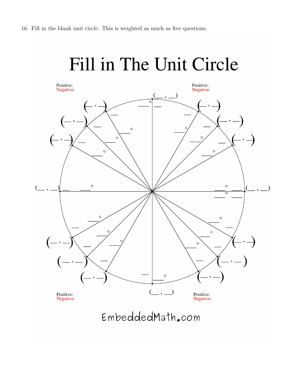

EmbeddedMath.com